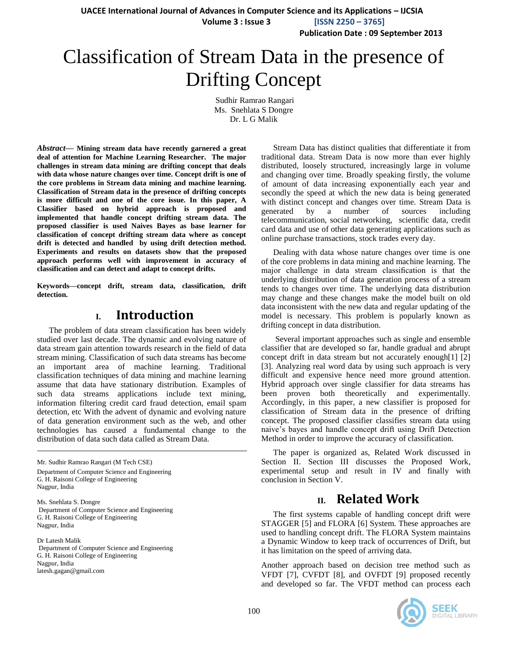**UACEE International Journal of Advances in Computer Science and its Applications – IJCSIA**

 **Volume 3 : Issue 3 [ISSN 2250 – 3765]**

**Publication Date : 09 September 2013**

# Classification of Stream Data in the presence of Drifting Concept

Sudhir Ramrao Rangari Ms. Snehlata S Dongre Dr. L G Malik

*Abstract***— Mining stream data have recently garnered a great deal of attention for Machine Learning Researcher. The major challenges in stream data mining are drifting concept that deals with data whose nature changes over time. Concept drift is one of the core problems in Stream data mining and machine learning. Classification of Stream data in the presence of drifting concepts is more difficult and one of the core issue. In this paper, A Classifier based on hybrid approach is proposed and implemented that handle concept drifting stream data. The proposed classifier is used Naives Bayes as base learner for classification of concept drifting stream data where as concept drift is detected and handled by using drift detection method. Experiments and results on datasets show that the proposed approach performs well with improvement in accuracy of classification and can detect and adapt to concept drifts.**

**Keywords—concept drift, stream data, classification, drift detection.**

## **I. Introduction**

The problem of data stream classification has been widely studied over last decade. The dynamic and evolving nature of data stream gain attention towards research in the field of data stream mining. Classification of such data streams has become an important area of machine learning. Traditional classification techniques of data mining and machine learning assume that data have stationary distribution. Examples of such data streams applications include text mining, information filtering credit card fraud detection, email spam detection, etc With the advent of dynamic and evolving nature of data generation environment such as the web, and other technologies has caused a fundamental change to the distribution of data such data called as Stream Data.

Mr. Sudhir Ramrao Rangari (M Tech CSE) Department of Computer Science and Engineering G. H. Raisoni College of Engineering Nagpur, India

Ms. Snehlata S. Dongre Department of Computer Science and Engineering G. H. Raisoni College of Engineering Nagpur, India

Dr Latesh Malik Department of Computer Science and Engineering G. H. Raisoni College of Engineering Nagpur, India latesh.gagan@gmail.com

Stream Data has distinct qualities that differentiate it from traditional data. Stream Data is now more than ever highly distributed, loosely structured, increasingly large in volume and changing over time. Broadly speaking firstly, the volume of amount of data increasing exponentially each year and secondly the speed at which the new data is being generated with distinct concept and changes over time. Stream Data is generated by a number of sources including telecommunication, social networking, scientific data, credit card data and use of other data generating applications such as online purchase transactions, stock trades every day.

Dealing with data whose nature changes over time is one of the core problems in data mining and machine learning. The major challenge in data stream classification is that the underlying distribution of data generation process of a stream tends to changes over time. The underlying data distribution may change and these changes make the model built on old data inconsistent with the new data and regular updating of the model is necessary. This problem is popularly known as drifting concept in data distribution.

Several important approaches such as single and ensemble classifier that are developed so far, handle gradual and abrupt concept drift in data stream but not accurately enough[1] [2] [3]. Analyzing real word data by using such approach is very difficult and expensive hence need more ground attention. Hybrid approach over single classifier for data streams has been proven both theoretically and experimentally. Accordingly, in this paper, a new classifier is proposed for classification of Stream data in the presence of drifting concept. The proposed classifier classifies stream data using naive's bayes and handle concept drift using Drift Detection Method in order to improve the accuracy of classification.

The paper is organized as, Related Work discussed in Section II. Section III discusses the Proposed Work, experimental setup and result in IV and finally with conclusion in Section V.

## **II. Related Work**

The first systems capable of handling concept drift were STAGGER [5] and FLORA [6] System. These approaches are used to handling concept drift. The FLORA System maintains a Dynamic Window to keep track of occurrences of Drift, but it has limitation on the speed of arriving data.

Another approach based on decision tree method such as VFDT [7], CVFDT [8], and OVFDT [9] proposed recently and developed so far. The VFDT method can process each

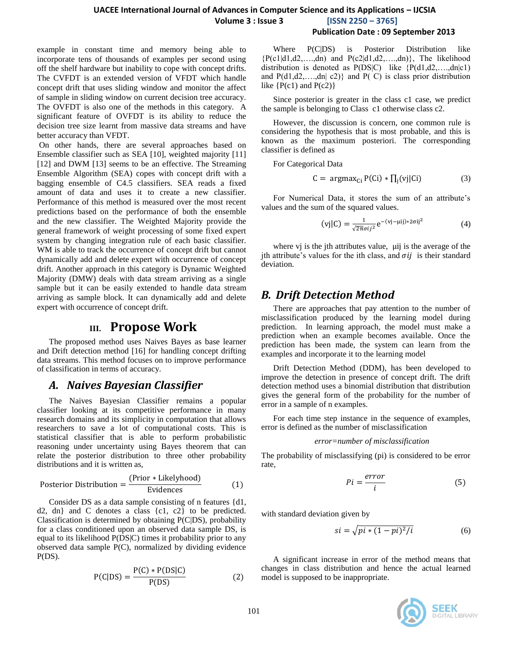example in constant time and memory being able to incorporate tens of thousands of examples per second using off the shelf hardware but inability to cope with concept drifts. The CVFDT is an extended version of VFDT which handle concept drift that uses sliding window and monitor the affect of sample in sliding window on current decision tree accuracy. The OVFDT is also one of the methods in this category. A significant feature of OVFDT is its ability to reduce the decision tree size learnt from massive data streams and have better accuracy than VFDT.

On other hands, there are several approaches based on Ensemble classifier such as SEA [10], weighted majority [11] [12] and DWM [13] seems to be an effective. The Streaming Ensemble Algorithm (SEA) copes with concept drift with a bagging ensemble of C4.5 classifiers. SEA reads a fixed amount of data and uses it to create a new classifier. Performance of this method is measured over the most recent predictions based on the performance of both the ensemble and the new classifier. The Weighted Majority provide the general framework of weight processing of some fixed expert system by changing integration rule of each basic classifier. WM is able to track the occurrence of concept drift but cannot dynamically add and delete expert with occurrence of concept drift. Another approach in this category is Dynamic Weighted Majority (DMW) deals with data stream arriving as a single sample but it can be easily extended to handle data stream arriving as sample block. It can dynamically add and delete expert with occurrence of concept drift.

### **III. Propose Work**

The proposed method uses Naives Bayes as base learner and Drift detection method [16] for handling concept drifting data streams. This method focuses on to improve performance of classification in terms of accuracy.

## *A. Naives Bayesian Classifier*

The Naives Bayesian Classifier remains a popular classifier looking at its competitive performance in many research domains and its simplicity in computation that allows researchers to save a lot of computational costs. This is statistical classifier that is able to perform probabilistic reasoning under uncertainty using Bayes theorem that can relate the posterior distribution to three other probability distributions and it is written as,

Posterior Distribution = 
$$
\frac{\text{(Prior * Likelyhood)}}{\text{Evidence}}
$$
 (1)

Consider DS as a data sample consisting of n features {d1, d2, dn} and C denotes a class {c1, c2} to be predicted. Classification is determined by obtaining P(C|DS), probability for a class conditioned upon an observed data sample DS, is equal to its likelihood P(DS|C) times it probability prior to any observed data sample P(C), normalized by dividing evidence  $P(DS)$ .

$$
P(C|DS) = \frac{P(C) * P(DS|C)}{P(DS)}
$$
 (2)

Where P(C|DS) is Posterior Distribution like  ${P(c1|d1,d2,...,dn)}$  and  $P(c2|d1,d2,...,dn)}$ , The likelihood distribution is denoted as  $P(DS|C)$  like  $\{P(d1,d2,...,dn|c1)\}$ and  $P(d1, d2, \ldots, dn | c2)$  and  $P(C)$  is class prior distribution like  $\{P(c1)$  and  $P(c2)\}$ 

Since posterior is greater in the class c1 case, we predict the sample is belonging to Class c1 otherwise class c2.

However, the discussion is concern, one common rule is considering the hypothesis that is most probable, and this is known as the maximum posteriori. The corresponding classifier is defined as

For Categorical Data

$$
C = argmax_{Ci} P(Ci) * \prod_{j}(vj|Ci)
$$
 (3)

For Numerical Data, it stores the sum of an attribute's values and the sum of the squared values.

$$
(vj|C) = \frac{1}{\sqrt{2\pi}\sigma i j^2} e^{-(vj-\mu i j) * 2\sigma i j^2}
$$
 (4)

where  $vj$  is the jth attributes value,  $\mu$ ij is the average of the jth attribute's values for the ith class, and  $\sigma ij$  is their standard deviation.

## *B. Drift Detection Method*

There are approaches that pay attention to the number of misclassification produced by the learning model during prediction. In learning approach, the model must make a prediction when an example becomes available. Once the prediction has been made, the system can learn from the examples and incorporate it to the learning model

Drift Detection Method (DDM), has been developed to improve the detection in presence of concept drift. The drift detection method uses a binomial distribution that distribution gives the general form of the probability for the number of error in a sample of n examples.

For each time step instance in the sequence of examples, error is defined as the number of misclassification

#### *error=number of misclassification*

The probability of misclassifying (pi) is considered to be error rate,

$$
Pi = \frac{error}{i} \tag{5}
$$

with standard deviation given by

$$
si = \sqrt{pi * (1 - pi)^2/i}
$$
 (6)

A significant increase in error of the method means that changes in class distribution and hence the actual learned model is supposed to be inappropriate.

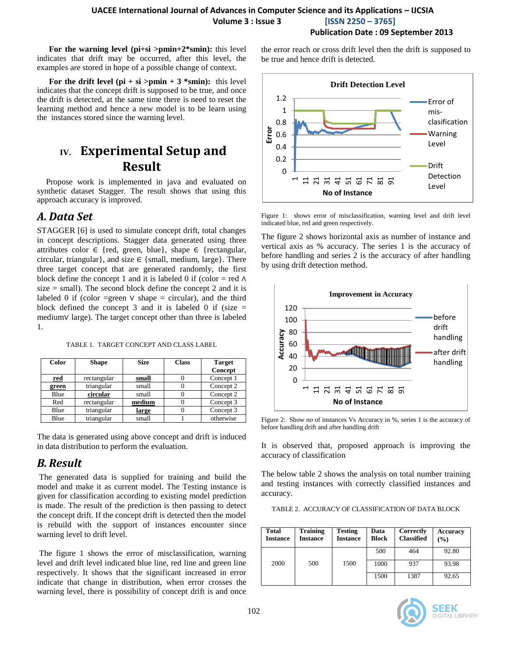**For the warning level (pi+si >pmin+2\*smin):** this level indicates that drift may be occurred, after this level, the examples are stored in hope of a possible change of context.

For the drift level  $pi + si$  >pmin + 3 \*smin): this level indicates that the concept drift is supposed to be true, and once the drift is detected, at the same time there is need to reset the learning method and hence a new model is to be learn using the instances stored since the warning level.

## **IV. Experimental Setup and Result**

Propose work is implemented in java and evaluated on synthetic dataset Stagger. The result shows that using this approach accuracy is improved.

## *A. Data Set*

STAGGER [6] is used to simulate concept drift, total changes in concept descriptions. Stagger data generated using three attributes color ∈ {red, green, blue}, shape ∈ {rectangular, circular, triangular}, and size  $\in$  {small, medium, large}. There three target concept that are generated randomly, the first block define the concept 1 and it is labeled 0 if (color = red  $\Lambda$ )  $size = small$ ). The second block define the concept 2 and it is labeled 0 if (color =green  $\vee$  shape = circular), and the third block defined the concept 3 and it is labeled 0 if (size  $=$ medium∨ large). The target concept other than three is labeled 1.

|  | TABLE 1. TARGET CONCEPT AND CLASS LABEL |  |  |
|--|-----------------------------------------|--|--|
|  |                                         |  |  |

| <b>Color</b> | <b>Shape</b> | <b>Size</b> | <b>Class</b> | <b>Target</b> |
|--------------|--------------|-------------|--------------|---------------|
|              |              |             |              | Concept       |
| <u>red</u>   | rectangular  | small       |              | Concept 1     |
| green        | triangular   | small       |              | Concept 2     |
| Blue         | circular     | small       |              | Concept 2     |
| Red          | rectangular  | medium      |              | Concept 3     |
| Blue         | triangular   | large       |              | Concept 3     |
| Blue         | triangular   | small       |              | otherwise     |

The data is generated using above concept and drift is induced in data distribution to perform the evaluation.

## *B. Result*

The generated data is supplied for training and build the model and make it as current model. The Testing instance is given for classification according to existing model prediction is made. The result of the prediction is then passing to detect the concept drift. If the concept drift is detected then the model is rebuild with the support of instances encounter since warning level to drift level.

The figure 1 shows the error of misclassification, warning level and drift level indicated blue line, red line and green line respectively. It shows that the significant increased in error indicate that change in distribution, when error crosses the warning level, there is possibility of concept drift is and once

the error reach or cross drift level then the drift is supposed to be true and hence drift is detected.



Figure 1: shows error of misclassification, warning level and drift level indicated blue, red and green respectively.

The figure 2 shows horizontal axis as number of instance and vertical axis as % accuracy. The series 1 is the accuracy of before handling and series 2 is the accuracy of after handling by using drift detection method.



Figure 2: Show no of instances Vs Accuracy in %, series 1 is the accuracy of before handling drift and after handling drift

It is observed that, proposed approach is improving the accuracy of classification

The below table 2 shows the analysis on total number training and testing instances with correctly classified instances and accuracy.

TABLE 2. ACCURACY OF CLASSIFICATION OF DATA BLOCK

| <b>Total</b><br><b>Instance</b> | <b>Training</b><br><b>Instance</b> | <b>Testing</b><br><b>Instance</b> | Data<br><b>Block</b> | Correctly<br><b>Classified</b> | Accuracy<br>$\left( \frac{9}{0} \right)$ |
|---------------------------------|------------------------------------|-----------------------------------|----------------------|--------------------------------|------------------------------------------|
|                                 |                                    |                                   | 500                  | 464                            | 92.80                                    |
| 2000                            | 500                                | 1500                              | 1000                 | 937                            | 93.98                                    |
|                                 |                                    |                                   | 1500                 | 1387                           | 92.65                                    |